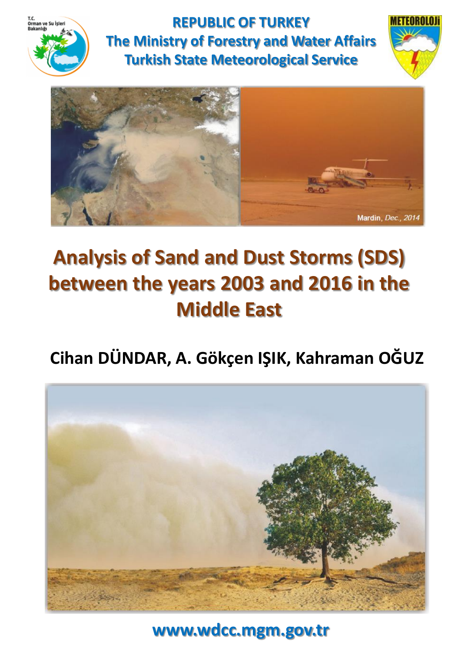

**REPUBLIC OF TURKEY The Ministry of Forestry and Water Affairs Turkish State Meteorological Service**





# **Analysis of Sand and Dust Storms (SDS) between the years 2003 and 2016 in the Middle East**

# **Cihan DÜNDAR, A. Gökçen IŞIK, Kahraman OĞUZ**



**www.wdcc.mgm.gov.tr**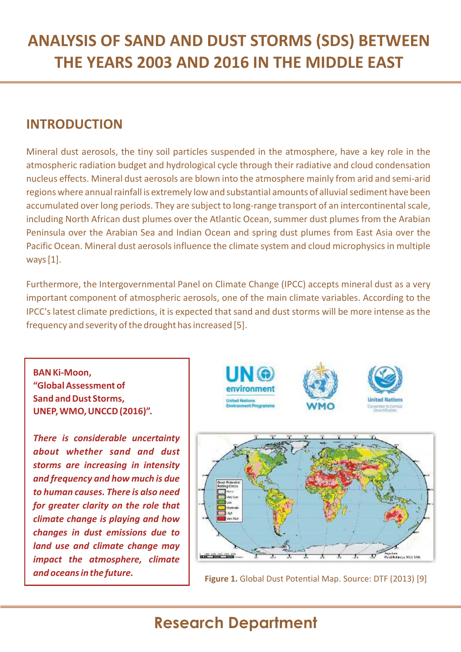#### **INTRODUCTION**

Mineral dust aerosols, the tiny soil particles suspended in the atmosphere, have a key role in the atmospheric radiation budget and hydrological cycle through their radiative and cloud condensation nucleus effects. Mineral dust aerosols are blown into the atmosphere mainly from arid and semi-arid regions where annual rainfall is extremely low and substantial amounts of alluvial sediment have been accumulated over long periods. They are subject to long-range transport of an intercontinental scale, including North African dust plumes over the Atlantic Ocean, summer dust plumes from the Arabian Peninsula over the Arabian Sea and Indian Ocean and spring dust plumes from East Asia over the Pacific Ocean. Mineral dust aerosols influence the climate system and cloud microphysics in multiple ways[1].

Furthermore, the Intergovernmental Panel on Climate Change (IPCC) accepts mineral dust as a very important component of atmospheric aerosols, one of the main climate variables. According to the IPCC's latest climate predictions, it is expected that sand and dust storms will be more intense as the frequency and severity of the drought has increased [5].

**BANKi-Moon, "GlobalAssessment of Sand** and Dust Storms. **UNEP,WMO,UNCCD(2016)".**

*There is considerable uncertainty about whether sand and dust storms are increasing in intensity and frequency and how much is due to human causes. There is also need for greater clarity on the role that climate change is playing and how changes in dust emissions due to land use and climate change may impact the atmosphere, climate*



**and oceans in the future. Figure 1.** Global Dust Potential Map. Source: DTF (2013) [9]

Amjestven<br>Abisd Robiniana, WUS 128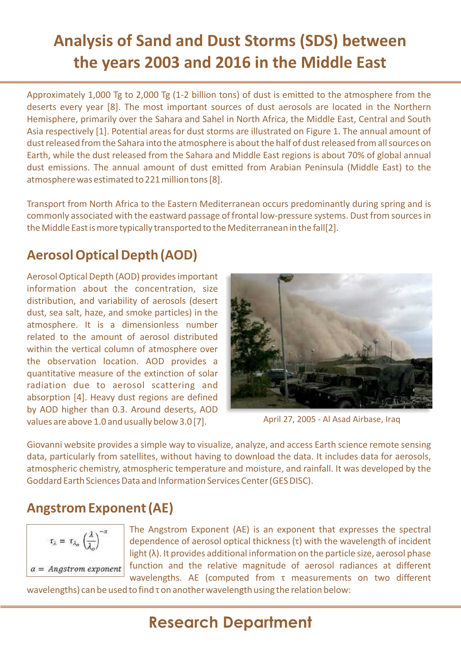Approximately 1,000 Tg to 2,000 Tg (1-2 billion tons) of dust is emitted to the atmosphere from the deserts every year [8]. The most important sources of dust aerosols are located in the Northern Hemisphere, primarily over the Sahara and Sahel in North Africa, the Middle East, Central and South Asia respectively [1]. Potential areas for dust storms are illustrated on Figure 1. The annual amount of dust released from the Sahara into the atmosphere is about the half of dust released from all sources on Earth, while the dust released from the Sahara and Middle East regions is about 70% of global annual dust emissions. The annual amount of dust emitted from Arabian Peninsula (Middle East) to the atmosphere was estimated to 221 million tons [8].

Transport from North Africa to the Eastern Mediterranean occurs predominantly during spring and is commonly associated with the eastward passage of frontal low-pressure systems. Dust from sourcesin the Middle East is more typically transported to the Mediterranean in the fall[2].

#### **AerosolOpticalDepth (AOD)**

Aerosol Optical Depth (AOD) providesimportant information about the concentration, size distribution, and variability of aerosols (desert dust, sea salt, haze, and smoke particles) in the atmosphere. It is a dimensionless number related to the amount of aerosol distributed within the vertical column of atmosphere over the observation location. AOD provides a quantitative measure of the extinction of solar radiation due to aerosol scattering and absorption [4]. Heavy dust regions are defined by AOD higher than 0.3. Around deserts, AOD values are above 1.0 and usually below 3.0 [7].



April 27, 2005 - Al Asad Airbase, Iraq

Giovanni website provides a simple way to visualize, analyze, and access Earth science remote sensing data, particularly from satellites, without having to download the data. It includes data for aerosols, atmospheric chemistry, atmospheric temperature and moisture, and rainfall. It was developed by the Goddard Earth Sciences Data and Information Services Center (GES DISC).

#### **Angstrom Exponent(AE)**

$$
\tau_{\lambda} = \tau_{\lambda_o} \left(\frac{\lambda}{\lambda_o}\right)^{-\alpha}
$$
  

$$
\alpha = \text{Angstrom exponent}
$$

The Angstrom Exponent (AE) is an exponent that expresses the spectral dependence of aerosol optical thickness (τ) with the wavelength of incident light (λ). It provides additional information on the particle size, aerosol phase function and the relative magnitude of aerosol radiances at different wavelengths. AE (computed from τ measurements on two different

wavelengths) can be used to find τ on another wavelength using the relation below: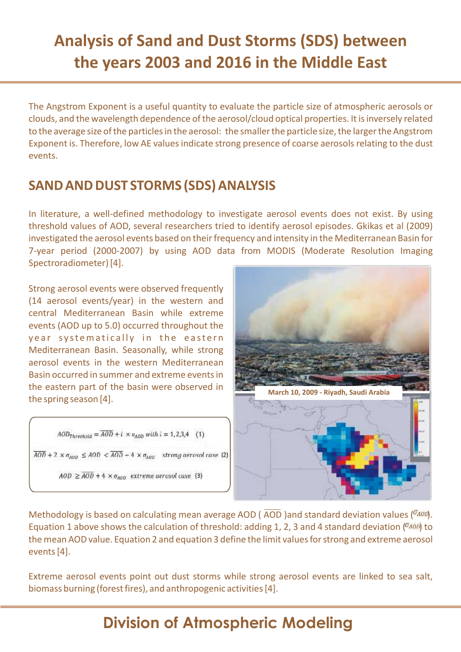The Angstrom Exponent is a useful quantity to evaluate the particle size of atmospheric aerosols or clouds, and the wavelength dependence of the aerosol/cloud optical properties. It is inversely related to the average size of the particles in the aerosol: the smaller the particle size, the larger the Angstrom Exponent is. Therefore, low AE values indicate strong presence of coarse aerosols relating to the dust events.

#### **SAND AND DUST STORMS (SDS) ANALYSIS**

In literature, a well-defined methodology to investigate aerosol events does not exist. By using threshold values of AOD, several researchers tried to identify aerosol episodes. Gkikas et al (2009) investigated the aerosol events based on their frequency and intensity in the Mediterranean Basin for 7-year period (2000-2007) by using AOD data from MODIS (Moderate Resolution Imaging Spectroradiometer)[4].

Strong aerosol events were observed frequently (14 aerosol events/year) in the western and central Mediterranean Basin while extreme events (AOD up to 5.0) occurred throughout the y e ar systematically in the eastern Mediterranean Basin. Seasonally, while strong aerosol events in the western Mediterranean Basin occurred in summer and extreme eventsin the eastern part of the basin were observed in the spring season [4].

$$
AOD_{Threshold} = \overline{AOD} + i \times o_{AOD} with i = 1, 2, 3, 4 \quad (1)
$$

 $\overline{AOD}$  + 2  $\times \sigma_{AOD} \leq AOD < \overline{AOD}$  – 4  $\times \sigma_{AOD}$  strong aerosol case (2)

 $AOD \geq \overline{AOD} + 4 \times \sigma_{AOD}$  extreme aerosol case (3)



Methodology is based on calculating mean average AOD (AOD )and standard deviation values (<sup>TAOD</sup>). Equation 1 above shows the calculation of threshold: adding 1, 2, 3 and 4 standard deviation  $(^{0}$  400) to the mean AOD value. Equation 2 and equation 3 define the limit values for strong and extreme aerosol events[4].

Extreme aerosol events point out dust storms while strong aerosol events are linked to sea salt, biomass burning (forest fires), and anthropogenic activities [4].

# **Division of Atmospheric Modeling**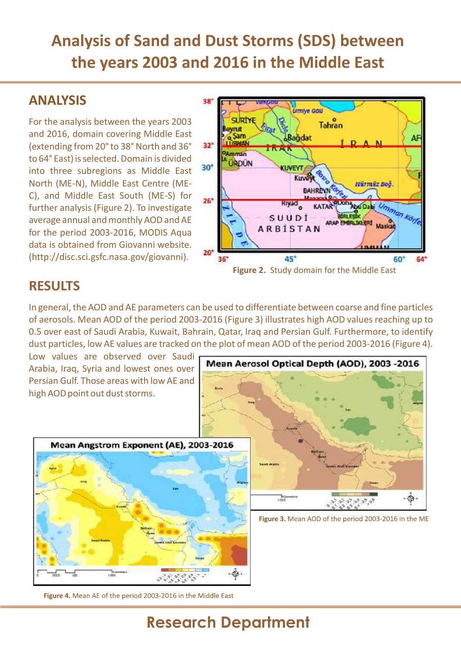#### **ANALYSIS**

For the analysis between the years 2003 and 2016, domain covering Middle East (extending from 20° to 38° North and 36° 32° to 64° East) is selected. Domain is divided into three subregions as Middle East North (ME-N), Middle East Centre (ME-C), and Middle East South (ME-S) for 26<sup>\*</sup> further analysis (Figure 2). To investigate average annual and monthly AOD and AE for the period 2003-2016, MODIS Aqua data is obtained from Giovanni website.<br>"20" (http://disc.sci.gsfc.nasa.gov/giovanni).



#### **RESULTS**

In general, the AOD and AE parameters can be used to differentiate between coarse and fine particles of aerosols. Mean AOD of the period 2003-2016 (Figure 3) illustrates high AOD values reaching up to 0.5 over east of Saudi Arabia, Kuwait, Bahrain, Qatar, Iraq and Persian Gulf. Furthermore, to identify dust particles, low AE values are tracked on the plot of mean AOD of the period 2003-2016 (Figure 4).

Arabia, Iraq, Syria and lowest ones over Persian Gulf. Those areas with low AE and high AOD point out dust storms.





Figure 3. Mean AOD of the period 2003-2016 in the ME

Figure 4. Mean AE of the period 2003-2016 in the Middle East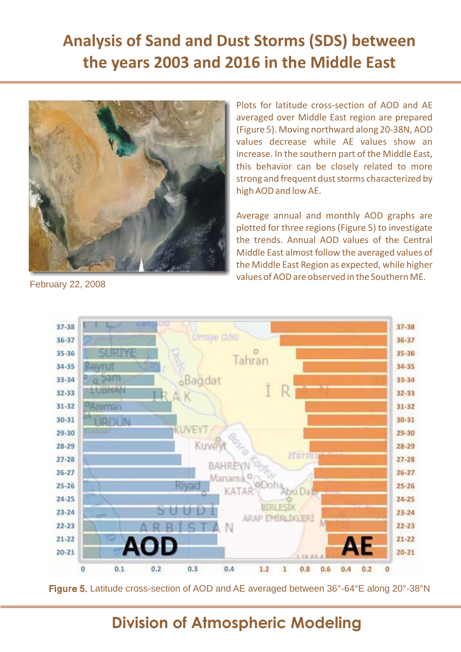

averaged over Middle East region are prepared (Figure 5). Moving northward along 20-38N, AOD values decrease while AE values show an increase. In the southern part of the Middle East, this behavior can be closely related to more strong and frequent dust storms characterized by high AODand lowAE.

Plots for latitude cross-section of AOD and AE

Average annual and monthly AOD graphs are plotted for three regions (Figure 5) to investigate the trends. Annual AOD values of the Central Middle East almost follow the averaged values of the Middle East Region as expected, while higher values of AOD are observed in the Southern ME.

37-38 37-38 **Urmive Goo** 36-37  $36 - 37$ 35-36 **MRINE** 35-36 Tahran 34-35  $34 - 35$ Bağdat  $540$ 33-34 33-34 **BRAN**  $32 - 33$  $32 - 33$  $31 - 32$  $31 - 32$ arrian  $30 - 31$  $30 - 31$ INFYT 29-30 29-30 Kuve  $28 - 29$  $28 - 29$ Hurm.  $27 - 28$  $27 - 28$ **BAHR**  $26 - 27$  $26 - 27$ Manam  $25 - 26$ Rivad  $25 - 26$ 24-25  $24 - 25$ UUD  $23 - 24$  $23 - 24$ ARAP EMERLIKERI  $22 - 23$  $22 - 23$  $21 - 22$  $21 - 22$  $20 - 21$  $20 - 21$  $\Omega$  $0.1$  $0.2$  $0.3$  $0.4$  $1.2$  $0.8$  $\mathbf{1}$  $0.6$  $0.4$  $0.2$ 

February 22, 2008

Figure 5. Latitude cross-section of AOD and AE averaged between 36°-64°E along 20°-38°N

### **Division of Atmospheric Modeling**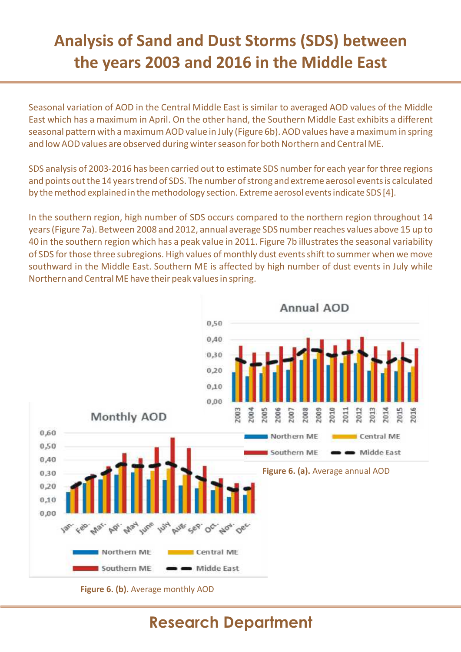Seasonal variation of AOD in the Central Middle East is similar to averaged AOD values of the Middle East which has a maximum in April. On the other hand, the Southern Middle East exhibits a different seasonal pattern with a maximum AOD value in July (Figure 6b). AOD values have a maximum in spring and low AOD values are observed during winter season for both Northern and Central ME.

SDS analysis of 2003-2016 has been carried out to estimate SDS number for each year for three regions and points out the 14 years trend of SDS. The number of strong and extreme aerosol events is calculated by the method explained in the methodology section. Extreme aerosol events indicate SDS [4].

In the southern region, high number of SDS occurs compared to the northern region throughout 14 years(Figure 7a). Between 2008 and 2012, annual average SDS numberreaches values above 15 up to 40 in the southern region which has a peak value in 2011. Figure 7b illustratesthe seasonal variability of SDS for those three subregions. High values of monthly dust events shift to summer when we move southward in the Middle East. Southern ME is affected by high number of dust events in July while Northern and Central ME have their peak values in spring.



**Figure 6. (b).** Average monthly AOD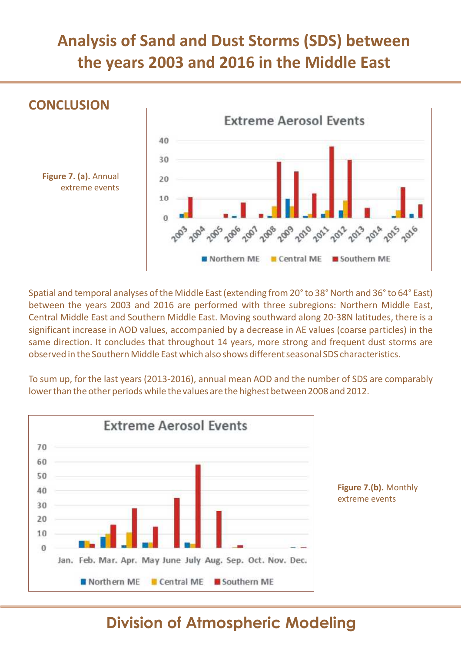

Spatial and temporal analyses of the Middle East (extending from 20° to 38° North and 36° to 64° East) between the years 2003 and 2016 are performed with three subregions: Northern Middle East, Central Middle East and Southern Middle East. Moving southward along 20-38N latitudes, there is a significant increase in AOD values, accompanied by a decrease in AE values (coarse particles) in the same direction. It concludes that throughout 14 years, more strong and frequent dust storms are observed in the Southern Middle East which also shows different seasonal SDS characteristics.

To sum up, for the last years (2013-2016), annual mean AOD and the number of SDS are comparably lowerthan the other periodswhile the values are the highest between 2008 and 2012.



**Figure 7.(b).** Monthly extreme events

### **Division of Atmospheric Modeling**